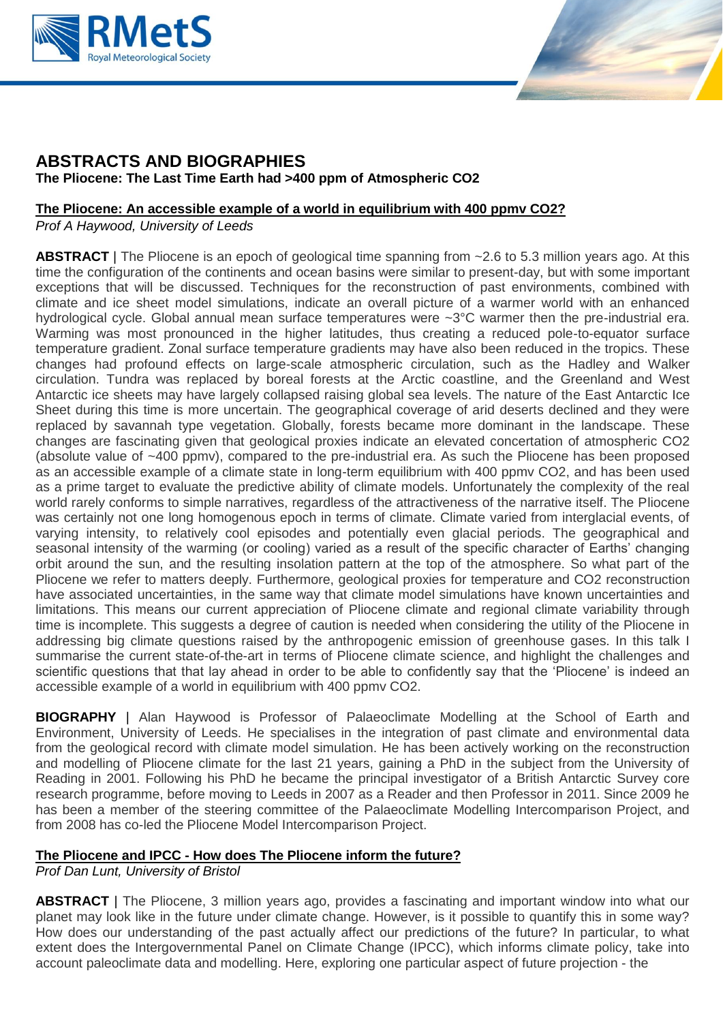



# **ABSTRACTS AND BIOGRAPHIES The Pliocene: The Last Time Earth had >400 ppm of Atmospheric CO2**

## **[The Pliocene: An accessible example of a world in equilibrium with 400 ppmv CO2?](https://www.rmets.org/event/a1478433-fcac-e811-80e6-005056b14b19/abstract/fec28b96-121b-e911-80e8-005056b1638e)**

*Prof A Haywood, University of Leeds*

ABSTRACT | The Pliocene is an epoch of geological time spanning from ~2.6 to 5.3 million years ago. At this time the configuration of the continents and ocean basins were similar to present-day, but with some important exceptions that will be discussed. Techniques for the reconstruction of past environments, combined with climate and ice sheet model simulations, indicate an overall picture of a warmer world with an enhanced hydrological cycle. Global annual mean surface temperatures were ~3°C warmer then the pre-industrial era. Warming was most pronounced in the higher latitudes, thus creating a reduced pole-to-equator surface temperature gradient. Zonal surface temperature gradients may have also been reduced in the tropics. These changes had profound effects on large-scale atmospheric circulation, such as the Hadley and Walker circulation. Tundra was replaced by boreal forests at the Arctic coastline, and the Greenland and West Antarctic ice sheets may have largely collapsed raising global sea levels. The nature of the East Antarctic Ice Sheet during this time is more uncertain. The geographical coverage of arid deserts declined and they were replaced by savannah type vegetation. Globally, forests became more dominant in the landscape. These changes are fascinating given that geological proxies indicate an elevated concertation of atmospheric CO2 (absolute value of ~400 ppmv), compared to the pre-industrial era. As such the Pliocene has been proposed as an accessible example of a climate state in long-term equilibrium with 400 ppmv CO2, and has been used as a prime target to evaluate the predictive ability of climate models. Unfortunately the complexity of the real world rarely conforms to simple narratives, regardless of the attractiveness of the narrative itself. The Pliocene was certainly not one long homogenous epoch in terms of climate. Climate varied from interglacial events, of varying intensity, to relatively cool episodes and potentially even glacial periods. The geographical and seasonal intensity of the warming (or cooling) varied as a result of the specific character of Earths' changing orbit around the sun, and the resulting insolation pattern at the top of the atmosphere. So what part of the Pliocene we refer to matters deeply. Furthermore, geological proxies for temperature and CO2 reconstruction have associated uncertainties, in the same way that climate model simulations have known uncertainties and limitations. This means our current appreciation of Pliocene climate and regional climate variability through time is incomplete. This suggests a degree of caution is needed when considering the utility of the Pliocene in addressing big climate questions raised by the anthropogenic emission of greenhouse gases. In this talk I summarise the current state-of-the-art in terms of Pliocene climate science, and highlight the challenges and scientific questions that that lay ahead in order to be able to confidently say that the 'Pliocene' is indeed an accessible example of a world in equilibrium with 400 ppmv CO2.

**BIOGRAPHY** | Alan Haywood is Professor of Palaeoclimate Modelling at the School of Earth and Environment, University of Leeds. He specialises in the integration of past climate and environmental data from the geological record with climate model simulation. He has been actively working on the reconstruction and modelling of Pliocene climate for the last 21 years, gaining a PhD in the subject from the University of Reading in 2001. Following his PhD he became the principal investigator of a British Antarctic Survey core research programme, before moving to Leeds in 2007 as a Reader and then Professor in 2011. Since 2009 he has been a member of the steering committee of the Palaeoclimate Modelling Intercomparison Project, and from 2008 has co-led the Pliocene Model Intercomparison Project.

## **The Pliocene and IPCC - [How does The Pliocene inform the future?](https://www.rmets.org/event/a1478433-fcac-e811-80e6-005056b14b19/abstract/a79ddecb-121b-e911-80e8-005056b1638e)**

*Prof Dan Lunt, University of Bristol*

**ABSTRACT** | The Pliocene, 3 million years ago, provides a fascinating and important window into what our planet may look like in the future under climate change. However, is it possible to quantify this in some way? How does our understanding of the past actually affect our predictions of the future? In particular, to what extent does the Intergovernmental Panel on Climate Change (IPCC), which informs climate policy, take into account paleoclimate data and modelling. Here, exploring one particular aspect of future projection - the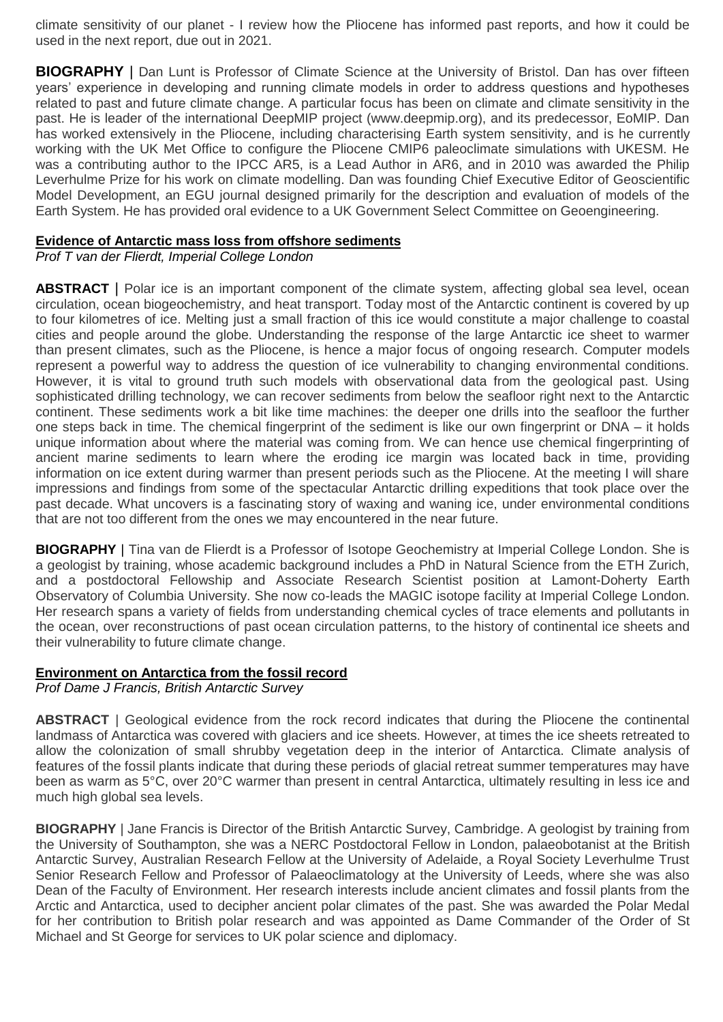climate sensitivity of our planet - I review how the Pliocene has informed past reports, and how it could be used in the next report, due out in 2021.

**BIOGRAPHY** | Dan Lunt is Professor of Climate Science at the University of Bristol. Dan has over fifteen years' experience in developing and running climate models in order to address questions and hypotheses related to past and future climate change. A particular focus has been on climate and climate sensitivity in the past. He is leader of the international DeepMIP project (www.deepmip.org), and its predecessor, EoMIP. Dan has worked extensively in the Pliocene, including characterising Earth system sensitivity, and is he currently working with the UK Met Office to configure the Pliocene CMIP6 paleoclimate simulations with UKESM. He was a contributing author to the IPCC AR5, is a Lead Author in AR6, and in 2010 was awarded the Philip Leverhulme Prize for his work on climate modelling. Dan was founding Chief Executive Editor of Geoscientific Model Development, an EGU journal designed primarily for the description and evaluation of models of the Earth System. He has provided oral evidence to a UK Government Select Committee on Geoengineering.

### **[Evidence of Antarctic mass loss from offshore sediments](https://www.rmets.org/event/a1478433-fcac-e811-80e6-005056b14b19/abstract/fc842f1f-131b-e911-80e8-005056b1638e)**

*Prof T van der Flierdt, Imperial College London*

**ABSTRACT** | Polar ice is an important component of the climate system, affecting global sea level, ocean circulation, ocean biogeochemistry, and heat transport. Today most of the Antarctic continent is covered by up to four kilometres of ice. Melting just a small fraction of this ice would constitute a major challenge to coastal cities and people around the globe. Understanding the response of the large Antarctic ice sheet to warmer than present climates, such as the Pliocene, is hence a major focus of ongoing research. Computer models represent a powerful way to address the question of ice vulnerability to changing environmental conditions. However, it is vital to ground truth such models with observational data from the geological past. Using sophisticated drilling technology, we can recover sediments from below the seafloor right next to the Antarctic continent. These sediments work a bit like time machines: the deeper one drills into the seafloor the further one steps back in time. The chemical fingerprint of the sediment is like our own fingerprint or DNA – it holds unique information about where the material was coming from. We can hence use chemical fingerprinting of ancient marine sediments to learn where the eroding ice margin was located back in time, providing information on ice extent during warmer than present periods such as the Pliocene. At the meeting I will share impressions and findings from some of the spectacular Antarctic drilling expeditions that took place over the past decade. What uncovers is a fascinating story of waxing and waning ice, under environmental conditions that are not too different from the ones we may encountered in the near future.

**BIOGRAPHY** | Tina van de Flierdt is a Professor of Isotope Geochemistry at Imperial College London. She is a geologist by training, whose academic background includes a PhD in Natural Science from the ETH Zurich, and a postdoctoral Fellowship and Associate Research Scientist position at Lamont-Doherty Earth Observatory of Columbia University. She now co-leads the MAGIC isotope facility at Imperial College London. Her research spans a variety of fields from understanding chemical cycles of trace elements and pollutants in the ocean, over reconstructions of past ocean circulation patterns, to the history of continental ice sheets and their vulnerability to future climate change.

#### **Environment on Antarctica from the fossil record**

*Prof Dame J Francis, British Antarctic Survey*

**ABSTRACT** | Geological evidence from the rock record indicates that during the Pliocene the continental landmass of Antarctica was covered with glaciers and ice sheets. However, at times the ice sheets retreated to allow the colonization of small shrubby vegetation deep in the interior of Antarctica. Climate analysis of features of the fossil plants indicate that during these periods of glacial retreat summer temperatures may have been as warm as 5°C, over 20°C warmer than present in central Antarctica, ultimately resulting in less ice and much high global sea levels.

**BIOGRAPHY** | Jane Francis is Director of the British Antarctic Survey, Cambridge. A geologist by training from the University of Southampton, she was a NERC Postdoctoral Fellow in London, palaeobotanist at the British Antarctic Survey, Australian Research Fellow at the University of Adelaide, a Royal Society Leverhulme Trust Senior Research Fellow and Professor of Palaeoclimatology at the University of Leeds, where she was also Dean of the Faculty of Environment. Her research interests include ancient climates and fossil plants from the Arctic and Antarctica, used to decipher ancient polar climates of the past. She was awarded the Polar Medal for her contribution to British polar research and was appointed as Dame Commander of the Order of St Michael and St George for services to UK polar science and diplomacy.